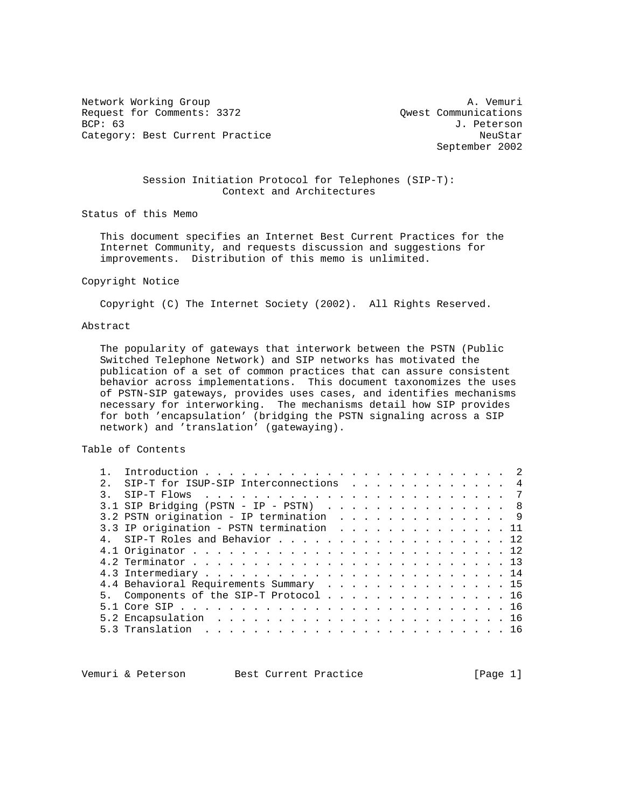Network Working Group and the set of the set of the set of the A. Vemuri Request for Comments: 3372 <br>BCP: 63 <br>J. Peterson Category: Best Current Practice NeuStar NeuStar

J. Peterson September 2002

# Session Initiation Protocol for Telephones (SIP-T): Context and Architectures

Status of this Memo

 This document specifies an Internet Best Current Practices for the Internet Community, and requests discussion and suggestions for improvements. Distribution of this memo is unlimited.

#### Copyright Notice

Copyright (C) The Internet Society (2002). All Rights Reserved.

### Abstract

 The popularity of gateways that interwork between the PSTN (Public Switched Telephone Network) and SIP networks has motivated the publication of a set of common practices that can assure consistent behavior across implementations. This document taxonomizes the uses of PSTN-SIP gateways, provides uses cases, and identifies mechanisms necessary for interworking. The mechanisms detail how SIP provides for both 'encapsulation' (bridging the PSTN signaling across a SIP network) and 'translation' (gatewaying).

### Table of Contents

|  | SIP-T for ISUP-SIP Interconnections 4    |  |  |  |  |  |  |  |
|--|------------------------------------------|--|--|--|--|--|--|--|
|  |                                          |  |  |  |  |  |  |  |
|  | 3.1 SIP Bridging (PSTN - IP - PSTN) 8    |  |  |  |  |  |  |  |
|  | 3.2 PSTN origination - IP termination 9  |  |  |  |  |  |  |  |
|  | 3.3 IP origination - PSTN termination 11 |  |  |  |  |  |  |  |
|  | 4. SIP-T Roles and Behavior 12           |  |  |  |  |  |  |  |
|  |                                          |  |  |  |  |  |  |  |
|  |                                          |  |  |  |  |  |  |  |
|  |                                          |  |  |  |  |  |  |  |
|  | 4.4 Behavioral Requirements Summary 15   |  |  |  |  |  |  |  |
|  | 5. Components of the SIP-T Protocol 16   |  |  |  |  |  |  |  |
|  |                                          |  |  |  |  |  |  |  |
|  |                                          |  |  |  |  |  |  |  |
|  |                                          |  |  |  |  |  |  |  |
|  |                                          |  |  |  |  |  |  |  |

Vemuri & Peterson Best Current Practice [Page 1]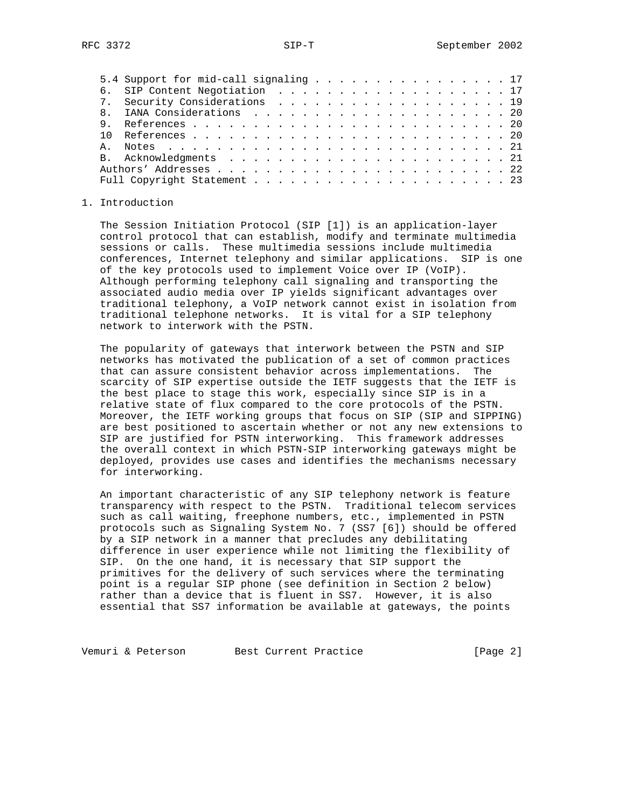|    | 5.4 Support for mid-call signaling 17 |  |
|----|---------------------------------------|--|
|    | 6. SIP Content Negotiation 17         |  |
|    | 7. Security Considerations 19         |  |
|    |                                       |  |
|    |                                       |  |
|    |                                       |  |
| A. |                                       |  |
|    |                                       |  |
|    |                                       |  |
|    |                                       |  |

#### 1. Introduction

 The Session Initiation Protocol (SIP [1]) is an application-layer control protocol that can establish, modify and terminate multimedia sessions or calls. These multimedia sessions include multimedia conferences, Internet telephony and similar applications. SIP is one of the key protocols used to implement Voice over IP (VoIP). Although performing telephony call signaling and transporting the associated audio media over IP yields significant advantages over traditional telephony, a VoIP network cannot exist in isolation from traditional telephone networks. It is vital for a SIP telephony network to interwork with the PSTN.

 The popularity of gateways that interwork between the PSTN and SIP networks has motivated the publication of a set of common practices that can assure consistent behavior across implementations. The scarcity of SIP expertise outside the IETF suggests that the IETF is the best place to stage this work, especially since SIP is in a relative state of flux compared to the core protocols of the PSTN. Moreover, the IETF working groups that focus on SIP (SIP and SIPPING) are best positioned to ascertain whether or not any new extensions to SIP are justified for PSTN interworking. This framework addresses the overall context in which PSTN-SIP interworking gateways might be deployed, provides use cases and identifies the mechanisms necessary for interworking.

 An important characteristic of any SIP telephony network is feature transparency with respect to the PSTN. Traditional telecom services such as call waiting, freephone numbers, etc., implemented in PSTN protocols such as Signaling System No. 7 (SS7 [6]) should be offered by a SIP network in a manner that precludes any debilitating difference in user experience while not limiting the flexibility of SIP. On the one hand, it is necessary that SIP support the primitives for the delivery of such services where the terminating point is a regular SIP phone (see definition in Section 2 below) rather than a device that is fluent in SS7. However, it is also essential that SS7 information be available at gateways, the points

Vemuri & Peterson Best Current Practice [Page 2]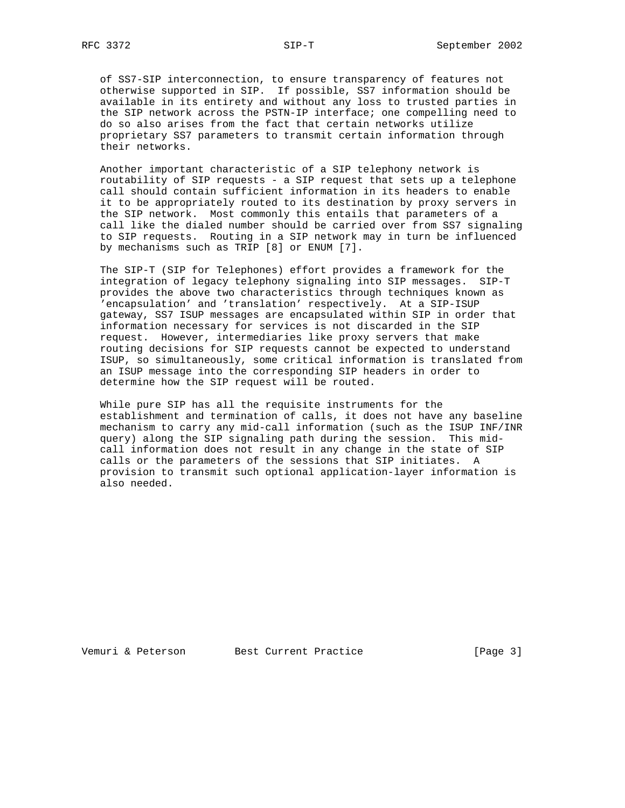of SS7-SIP interconnection, to ensure transparency of features not otherwise supported in SIP. If possible, SS7 information should be available in its entirety and without any loss to trusted parties in the SIP network across the PSTN-IP interface; one compelling need to do so also arises from the fact that certain networks utilize proprietary SS7 parameters to transmit certain information through their networks.

 Another important characteristic of a SIP telephony network is routability of SIP requests - a SIP request that sets up a telephone call should contain sufficient information in its headers to enable it to be appropriately routed to its destination by proxy servers in the SIP network. Most commonly this entails that parameters of a call like the dialed number should be carried over from SS7 signaling to SIP requests. Routing in a SIP network may in turn be influenced by mechanisms such as TRIP [8] or ENUM [7].

 The SIP-T (SIP for Telephones) effort provides a framework for the integration of legacy telephony signaling into SIP messages. SIP-T provides the above two characteristics through techniques known as 'encapsulation' and 'translation' respectively. At a SIP-ISUP gateway, SS7 ISUP messages are encapsulated within SIP in order that information necessary for services is not discarded in the SIP request. However, intermediaries like proxy servers that make routing decisions for SIP requests cannot be expected to understand ISUP, so simultaneously, some critical information is translated from an ISUP message into the corresponding SIP headers in order to determine how the SIP request will be routed.

 While pure SIP has all the requisite instruments for the establishment and termination of calls, it does not have any baseline mechanism to carry any mid-call information (such as the ISUP INF/INR query) along the SIP signaling path during the session. This mid call information does not result in any change in the state of SIP calls or the parameters of the sessions that SIP initiates. A provision to transmit such optional application-layer information is also needed.

Vemuri & Peterson Best Current Practice [Page 3]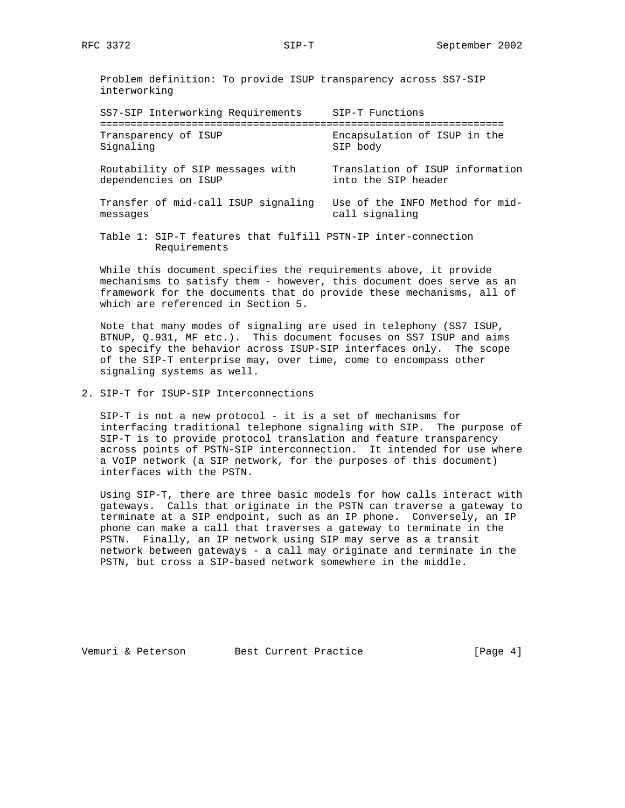Problem definition: To provide ISUP transparency across SS7-SIP interworking

| SS7-SIP Interworking Requirements                                             | SIP-T Functions                                        |
|-------------------------------------------------------------------------------|--------------------------------------------------------|
| Transparency of ISUP<br>Signaling                                             | Encapsulation of ISUP in the<br>SIP body               |
| Routability of SIP messages with<br>dependencies on ISUP                      | Translation of ISUP information<br>into the SIP header |
| Transfer of mid-call ISUP signaling<br>messages                               | Use of the INFO Method for mid-<br>call signaling      |
| Table 1: SIP-T features that fulfill PSTN-IP inter-connection<br>Requirements |                                                        |

 While this document specifies the requirements above, it provide mechanisms to satisfy them - however, this document does serve as an framework for the documents that do provide these mechanisms, all of which are referenced in Section 5.

 Note that many modes of signaling are used in telephony (SS7 ISUP, BTNUP, Q.931, MF etc.). This document focuses on SS7 ISUP and aims to specify the behavior across ISUP-SIP interfaces only. The scope of the SIP-T enterprise may, over time, come to encompass other signaling systems as well.

2. SIP-T for ISUP-SIP Interconnections

 SIP-T is not a new protocol - it is a set of mechanisms for interfacing traditional telephone signaling with SIP. The purpose of SIP-T is to provide protocol translation and feature transparency across points of PSTN-SIP interconnection. It intended for use where a VoIP network (a SIP network, for the purposes of this document) interfaces with the PSTN.

 Using SIP-T, there are three basic models for how calls interact with gateways. Calls that originate in the PSTN can traverse a gateway to terminate at a SIP endpoint, such as an IP phone. Conversely, an IP phone can make a call that traverses a gateway to terminate in the PSTN. Finally, an IP network using SIP may serve as a transit network between gateways - a call may originate and terminate in the PSTN, but cross a SIP-based network somewhere in the middle.

Vemuri & Peterson Best Current Practice [Page 4]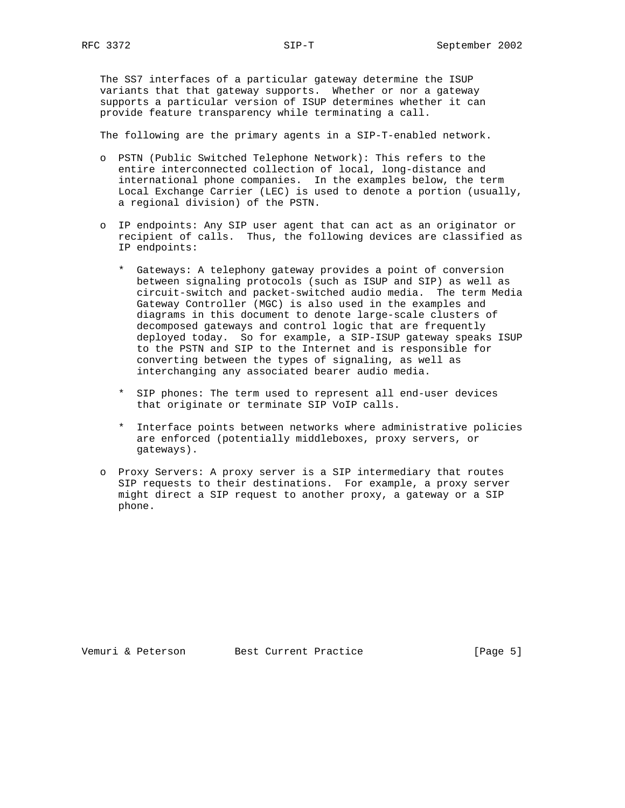The SS7 interfaces of a particular gateway determine the ISUP variants that that gateway supports. Whether or nor a gateway supports a particular version of ISUP determines whether it can provide feature transparency while terminating a call.

The following are the primary agents in a SIP-T-enabled network.

- o PSTN (Public Switched Telephone Network): This refers to the entire interconnected collection of local, long-distance and international phone companies. In the examples below, the term Local Exchange Carrier (LEC) is used to denote a portion (usually, a regional division) of the PSTN.
- o IP endpoints: Any SIP user agent that can act as an originator or recipient of calls. Thus, the following devices are classified as IP endpoints:
	- \* Gateways: A telephony gateway provides a point of conversion between signaling protocols (such as ISUP and SIP) as well as circuit-switch and packet-switched audio media. The term Media Gateway Controller (MGC) is also used in the examples and diagrams in this document to denote large-scale clusters of decomposed gateways and control logic that are frequently deployed today. So for example, a SIP-ISUP gateway speaks ISUP to the PSTN and SIP to the Internet and is responsible for converting between the types of signaling, as well as interchanging any associated bearer audio media.
	- \* SIP phones: The term used to represent all end-user devices that originate or terminate SIP VoIP calls.
	- \* Interface points between networks where administrative policies are enforced (potentially middleboxes, proxy servers, or gateways).
- o Proxy Servers: A proxy server is a SIP intermediary that routes SIP requests to their destinations. For example, a proxy server might direct a SIP request to another proxy, a gateway or a SIP phone.

Vemuri & Peterson Best Current Practice [Page 5]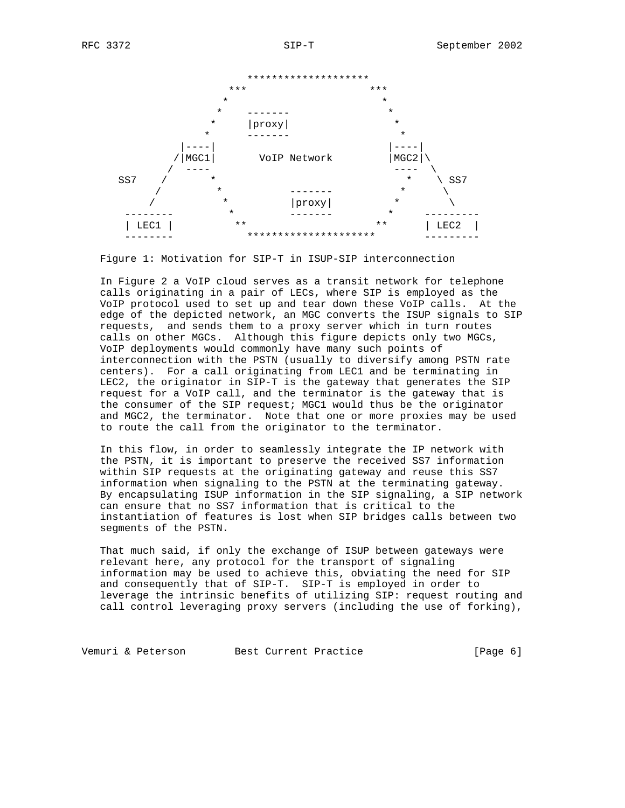

Figure 1: Motivation for SIP-T in ISUP-SIP interconnection

 In Figure 2 a VoIP cloud serves as a transit network for telephone calls originating in a pair of LECs, where SIP is employed as the VoIP protocol used to set up and tear down these VoIP calls. At the edge of the depicted network, an MGC converts the ISUP signals to SIP requests, and sends them to a proxy server which in turn routes calls on other MGCs. Although this figure depicts only two MGCs, VoIP deployments would commonly have many such points of interconnection with the PSTN (usually to diversify among PSTN rate centers). For a call originating from LEC1 and be terminating in LEC2, the originator in SIP-T is the gateway that generates the SIP request for a VoIP call, and the terminator is the gateway that is the consumer of the SIP request; MGC1 would thus be the originator and MGC2, the terminator. Note that one or more proxies may be used to route the call from the originator to the terminator.

 In this flow, in order to seamlessly integrate the IP network with the PSTN, it is important to preserve the received SS7 information within SIP requests at the originating gateway and reuse this SS7 information when signaling to the PSTN at the terminating gateway. By encapsulating ISUP information in the SIP signaling, a SIP network can ensure that no SS7 information that is critical to the instantiation of features is lost when SIP bridges calls between two segments of the PSTN.

 That much said, if only the exchange of ISUP between gateways were relevant here, any protocol for the transport of signaling information may be used to achieve this, obviating the need for SIP and consequently that of SIP-T. SIP-T is employed in order to leverage the intrinsic benefits of utilizing SIP: request routing and call control leveraging proxy servers (including the use of forking),

Vemuri & Peterson Best Current Practice [Page 6]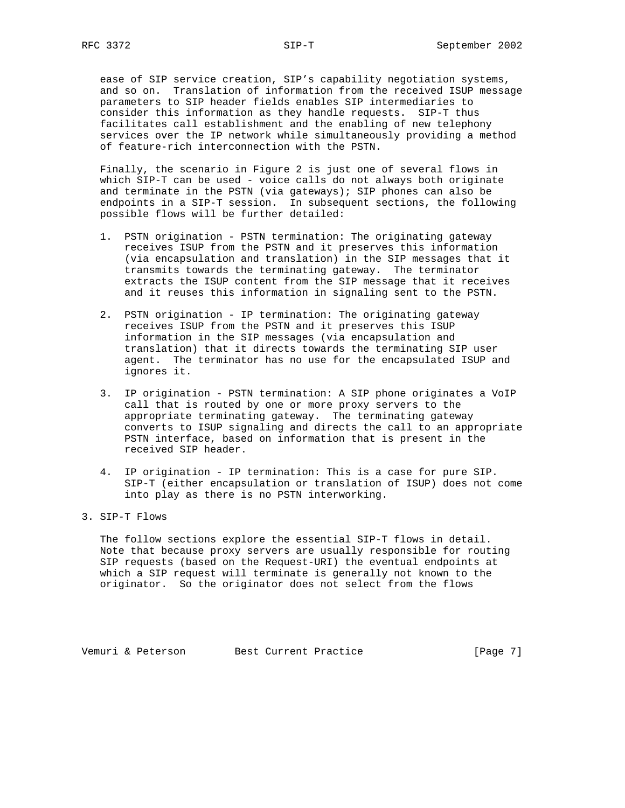ease of SIP service creation, SIP's capability negotiation systems, and so on. Translation of information from the received ISUP message parameters to SIP header fields enables SIP intermediaries to consider this information as they handle requests. SIP-T thus facilitates call establishment and the enabling of new telephony services over the IP network while simultaneously providing a method of feature-rich interconnection with the PSTN.

 Finally, the scenario in Figure 2 is just one of several flows in which SIP-T can be used - voice calls do not always both originate and terminate in the PSTN (via gateways); SIP phones can also be endpoints in a SIP-T session. In subsequent sections, the following possible flows will be further detailed:

- 1. PSTN origination PSTN termination: The originating gateway receives ISUP from the PSTN and it preserves this information (via encapsulation and translation) in the SIP messages that it transmits towards the terminating gateway. The terminator extracts the ISUP content from the SIP message that it receives and it reuses this information in signaling sent to the PSTN.
- 2. PSTN origination IP termination: The originating gateway receives ISUP from the PSTN and it preserves this ISUP information in the SIP messages (via encapsulation and translation) that it directs towards the terminating SIP user agent. The terminator has no use for the encapsulated ISUP and ignores it.
- 3. IP origination PSTN termination: A SIP phone originates a VoIP call that is routed by one or more proxy servers to the appropriate terminating gateway. The terminating gateway converts to ISUP signaling and directs the call to an appropriate PSTN interface, based on information that is present in the received SIP header.
- 4. IP origination IP termination: This is a case for pure SIP. SIP-T (either encapsulation or translation of ISUP) does not come into play as there is no PSTN interworking.

## 3. SIP-T Flows

 The follow sections explore the essential SIP-T flows in detail. Note that because proxy servers are usually responsible for routing SIP requests (based on the Request-URI) the eventual endpoints at which a SIP request will terminate is generally not known to the originator. So the originator does not select from the flows

Vemuri & Peterson Best Current Practice [Page 7]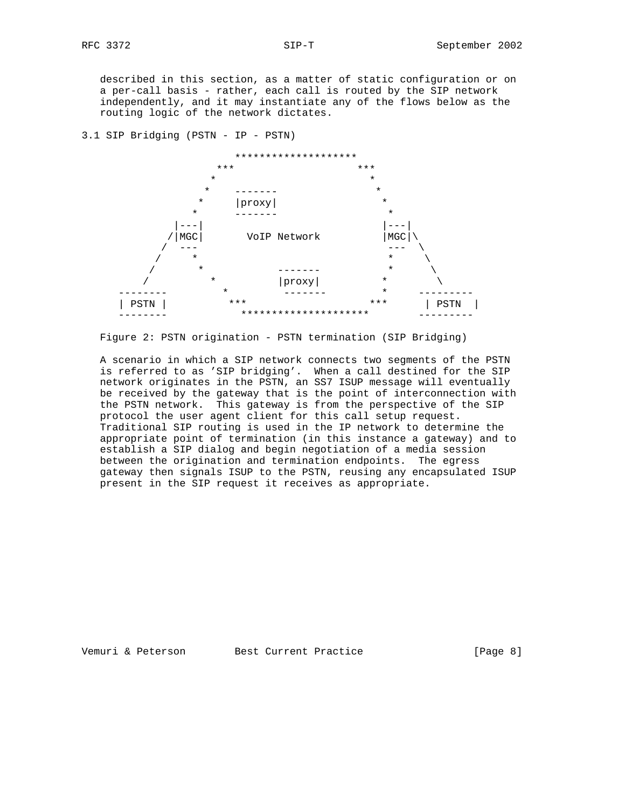described in this section, as a matter of static configuration or on a per-call basis - rather, each call is routed by the SIP network independently, and it may instantiate any of the flows below as the routing logic of the network dictates.

3.1 SIP Bridging (PSTN - IP - PSTN)



Figure 2: PSTN origination - PSTN termination (SIP Bridging)

 A scenario in which a SIP network connects two segments of the PSTN is referred to as 'SIP bridging'. When a call destined for the SIP network originates in the PSTN, an SS7 ISUP message will eventually be received by the gateway that is the point of interconnection with the PSTN network. This gateway is from the perspective of the SIP protocol the user agent client for this call setup request. Traditional SIP routing is used in the IP network to determine the appropriate point of termination (in this instance a gateway) and to establish a SIP dialog and begin negotiation of a media session between the origination and termination endpoints. The egress gateway then signals ISUP to the PSTN, reusing any encapsulated ISUP present in the SIP request it receives as appropriate.

Vemuri & Peterson Best Current Practice [Page 8]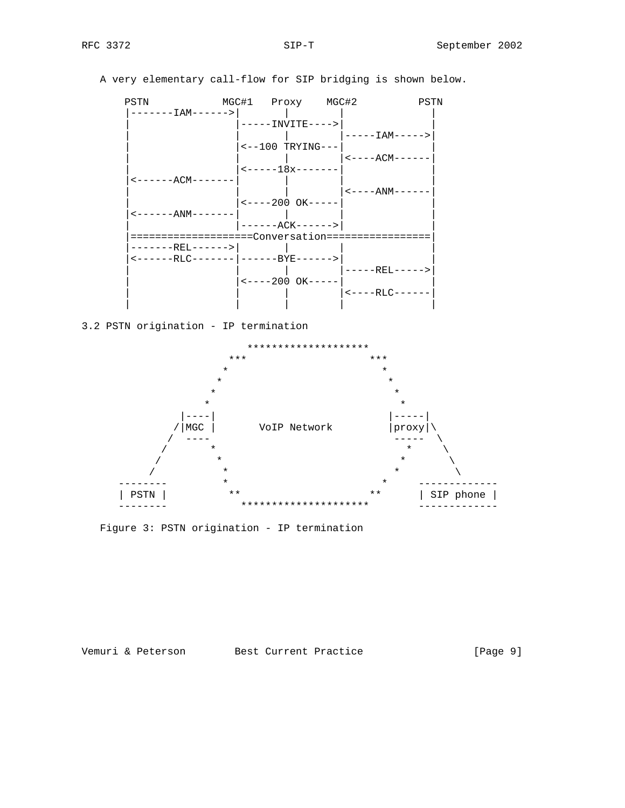PSTN MGC#1 Proxy MGC#2 PSTN |-------IAM------>| | | | | |-----INVITE---->| |  $|$  -----IAM-----> $|$  $|\leftarrow -100$  TRYING--- | | | |<----ACM------|  $|$  <-----18x------- $\left|$  <-------ACM------- $|$  < - - - - ANM- - - - - - $|$  <----200 OK----- $\left| \left| {\cal A} \right| = -1 - \left| {\cal A} \right| = -1 - \left| {\cal A} \right| = \left| {\cal A} \right| = \left| {\cal A} \right| = \left| {\cal A} \right| = \left| {\cal A} \right| = \left| {\cal A} \right| = \left| {\cal A} \right| = \left| {\cal A} \right| = \left| {\cal A} \right| = \left| {\cal A} \right| = \left| {\cal A} \right| = \left| {\cal A} \right| = \left| {\cal A} \right| = \left| {\cal A} \right| = \left| {\cal A} \right| = \left| {\cal A} \right| = \left| {\cal A} \right| = \left$ | ------ACK-------> | |====================Conversation=================| |-------REL------>| | | | |<------RLC-------|------BYE------>| | | | | |-----REL----->|  $|$  <----200 OK----- | | | |<----RLC------| | | | | | 3.2 PSTN origination - IP termination \*\*\*\*\*\*\*\*\*\*\*\*\*\*\*\*\*\*\*\* \*\*\* \*\*\* \*\*\* \*\*\* \* \*  $\star$  \* \* \* \*  $\star$  \* |----| |-----| |MGC | VoIP Network | proxy  $\sqrt{ \begin{array}{ccc} - - - - & - \ - \ & - \ \end{array}}$  $\sqrt{2}$   $\frac{1}{2}$   $\frac{1}{2}$   $\frac{1}{2}$   $\frac{1}{2}$   $\frac{1}{2}$   $\frac{1}{2}$   $\frac{1}{2}$   $\frac{1}{2}$   $\frac{1}{2}$   $\frac{1}{2}$   $\frac{1}{2}$   $\frac{1}{2}$   $\frac{1}{2}$   $\frac{1}{2}$   $\frac{1}{2}$   $\frac{1}{2}$   $\frac{1}{2}$   $\frac{1}{2}$   $\frac{1}{2}$   $\frac{1}{2}$   $\frac{1}{2}$   $\frac$  $\sqrt{2}$   $\frac{1}{2}$   $\frac{1}{2}$   $\frac{1}{2}$   $\frac{1}{2}$   $\frac{1}{2}$   $\frac{1}{2}$   $\frac{1}{2}$   $\frac{1}{2}$   $\frac{1}{2}$   $\frac{1}{2}$   $\frac{1}{2}$   $\frac{1}{2}$   $\frac{1}{2}$   $\frac{1}{2}$   $\frac{1}{2}$   $\frac{1}{2}$   $\frac{1}{2}$   $\frac{1}{2}$   $\frac{1}{2}$   $\frac{1}{2}$   $\frac{1}{2}$   $\frac$  $\hspace{.15cm} \left.\rule{0cm}{.0cm} \right/ \hspace{1.2cm}$  \*  $\hspace{.15cm}$  \*  $\hspace{.15cm}$   $\hspace{.15cm}$  \*  $\hspace{.15cm}$   $\hspace{.15cm}$   $\hspace{.15cm}$  \*  $\hspace{.15cm}$   $\hspace{.15cm}$   $\hspace{.15cm}$   $\hspace{.15cm}$   $\hspace{.15cm}$   $\hspace{.15cm}$   $\hspace{.15cm}$   $\hspace{.15cm}$   $\hspace{.15cm$  -------- \* \* ------------- | PSTN | \*\* \* \* \* \* \* \* | SIP phone |

A very elementary call-flow for SIP bridging is shown below.

Figure 3: PSTN origination - IP termination

Vemuri & Peterson Best Current Practice [Page 9]

-------- \*\*\*\*\*\*\*\*\*\*\*\*\*\*\*\*\*\*\*\*\* -------------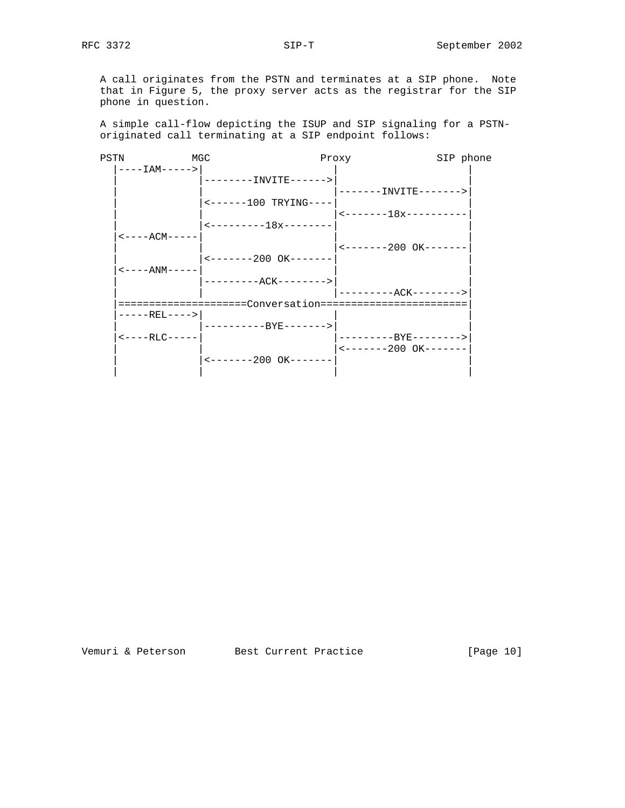A call originates from the PSTN and terminates at a SIP phone. Note that in Figure 5, the proxy server acts as the registrar for the SIP phone in question.

 A simple call-flow depicting the ISUP and SIP signaling for a PSTN originated call terminating at a SIP endpoint follows:

| PSTN | MGC                                |                                                            | Proxy                                              | SIP phone |
|------|------------------------------------|------------------------------------------------------------|----------------------------------------------------|-----------|
|      | $---IAM----$                       |                                                            |                                                    |           |
|      |                                    | --------INVITE------>                                      |                                                    |           |
|      |                                    |                                                            | -------INVITE------->                              |           |
|      |                                    | $\leftarrow$ ------100 TRYING----                          |                                                    |           |
|      |                                    |                                                            | $\leftarrow$ - - - - - - - 18x - - - - - - - - - - |           |
|      |                                    | $\leftarrow$ ---------18x--------                          |                                                    |           |
|      | $\leftarrow$ - - - - ACM - - - - - |                                                            |                                                    |           |
|      |                                    |                                                            | $\leftarrow$ - - - - - - - 200 OK - - - - - - -    |           |
|      |                                    | $\leftarrow$ - - - - - - - 200 OK - - - - - - -            |                                                    |           |
|      | $\leftarrow$ - - - - ANM - - - - - |                                                            |                                                    |           |
|      |                                    | _________ACK-------->                                      |                                                    |           |
|      |                                    |                                                            | ---------ACK-------->                              |           |
|      |                                    | =====================Conversation========================= |                                                    |           |
|      | $---RET$ ---->                     |                                                            |                                                    |           |
|      |                                    | ----------BYE------->                                      |                                                    |           |
|      | $<----RLC---$                      |                                                            | ---------BYE-------->                              |           |
|      |                                    |                                                            | $\leftarrow$ - - - - - - - 200 OK - - - - - - -    |           |
|      |                                    | $\leftarrow$ ------200 OK-------                           |                                                    |           |
|      |                                    |                                                            |                                                    |           |
|      |                                    |                                                            |                                                    |           |

Vemuri & Peterson Best Current Practice [Page 10]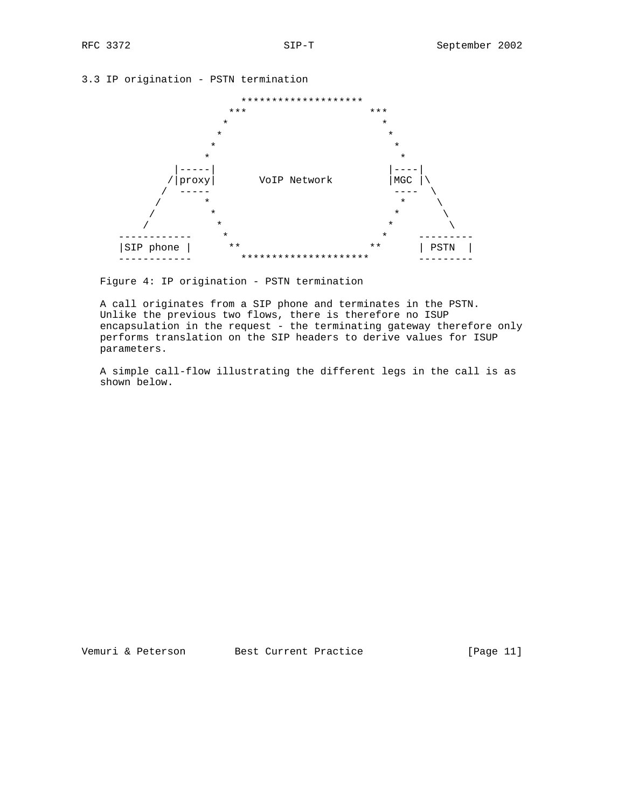3.3 IP origination - PSTN termination



Figure 4: IP origination - PSTN termination

 A call originates from a SIP phone and terminates in the PSTN. Unlike the previous two flows, there is therefore no ISUP encapsulation in the request - the terminating gateway therefore only performs translation on the SIP headers to derive values for ISUP parameters.

 A simple call-flow illustrating the different legs in the call is as shown below.

Vemuri & Peterson Best Current Practice [Page 11]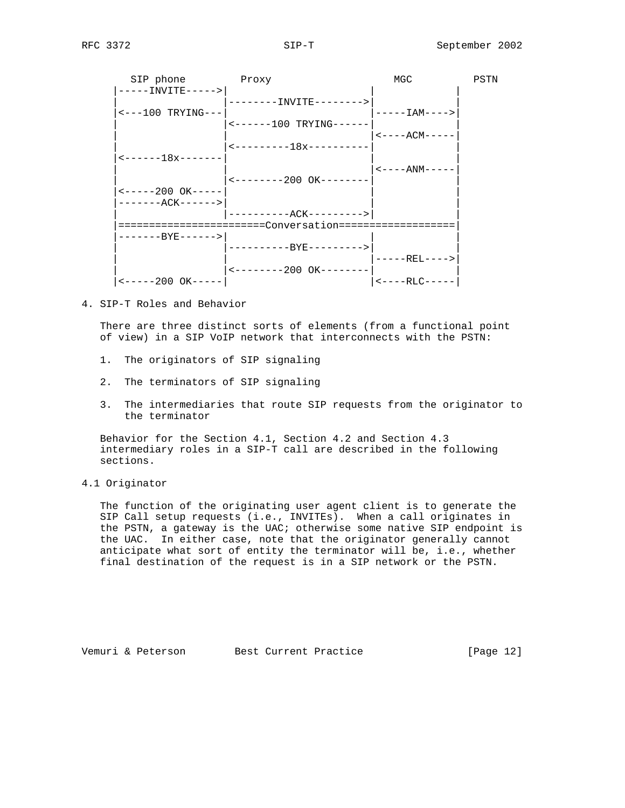| SIP phone                                  | Proxy                                               | MGC                                | PSTN |
|--------------------------------------------|-----------------------------------------------------|------------------------------------|------|
| -----INVITE----->                          |                                                     |                                    |      |
|                                            | -------INVITE-------->                              |                                    |      |
| $\leftarrow - -100$ TRYING---              |                                                     | $---IAM---$                        |      |
|                                            | <------100 TRYING------                             |                                    |      |
|                                            |                                                     | $<----ACM---$                      |      |
|                                            | $------18x------$                                   |                                    |      |
| $\leftarrow$ - - - - - - 18x - - - - - - - |                                                     |                                    |      |
|                                            |                                                     | $\leftarrow$ - - - - ANM - - - - - |      |
|                                            | $\leftarrow$ - - - - - - - - 200 OK - - - - - - - - |                                    |      |
| $\leftarrow$ -----200 OK-----              |                                                     |                                    |      |
| -------ACK------>                          |                                                     |                                    |      |
|                                            | ----------ACK--------->                             |                                    |      |
|                                            | :=======================Conversation============    |                                    |      |
| -------BYE------>                          |                                                     |                                    |      |
|                                            | ---------RYE--------->                              |                                    |      |
|                                            |                                                     | -----REL---->                      |      |
|                                            | $\leftarrow$ - - - - - - - - 200 OK - - - - - - - - |                                    |      |
| $\t-$ ----200 OK-----                      |                                                     | $<----RLC---$                      |      |

4. SIP-T Roles and Behavior

 There are three distinct sorts of elements (from a functional point of view) in a SIP VoIP network that interconnects with the PSTN:

- 1. The originators of SIP signaling
- 2. The terminators of SIP signaling
- 3. The intermediaries that route SIP requests from the originator to the terminator

 Behavior for the Section 4.1, Section 4.2 and Section 4.3 intermediary roles in a SIP-T call are described in the following sections.

4.1 Originator

 The function of the originating user agent client is to generate the SIP Call setup requests (i.e., INVITEs). When a call originates in the PSTN, a gateway is the UAC; otherwise some native SIP endpoint is the UAC. In either case, note that the originator generally cannot anticipate what sort of entity the terminator will be, i.e., whether final destination of the request is in a SIP network or the PSTN.

Vemuri & Peterson Best Current Practice [Page 12]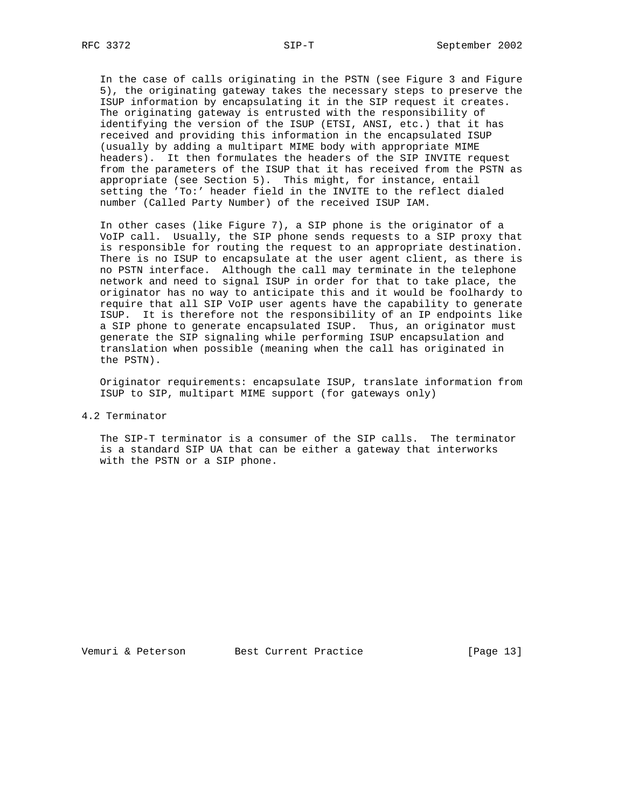In the case of calls originating in the PSTN (see Figure 3 and Figure 5), the originating gateway takes the necessary steps to preserve the ISUP information by encapsulating it in the SIP request it creates. The originating gateway is entrusted with the responsibility of identifying the version of the ISUP (ETSI, ANSI, etc.) that it has received and providing this information in the encapsulated ISUP (usually by adding a multipart MIME body with appropriate MIME headers). It then formulates the headers of the SIP INVITE request from the parameters of the ISUP that it has received from the PSTN as appropriate (see Section 5). This might, for instance, entail setting the 'To:' header field in the INVITE to the reflect dialed number (Called Party Number) of the received ISUP IAM.

 In other cases (like Figure 7), a SIP phone is the originator of a VoIP call. Usually, the SIP phone sends requests to a SIP proxy that is responsible for routing the request to an appropriate destination. There is no ISUP to encapsulate at the user agent client, as there is no PSTN interface. Although the call may terminate in the telephone network and need to signal ISUP in order for that to take place, the originator has no way to anticipate this and it would be foolhardy to require that all SIP VoIP user agents have the capability to generate ISUP. It is therefore not the responsibility of an IP endpoints like a SIP phone to generate encapsulated ISUP. Thus, an originator must generate the SIP signaling while performing ISUP encapsulation and translation when possible (meaning when the call has originated in the PSTN).

 Originator requirements: encapsulate ISUP, translate information from ISUP to SIP, multipart MIME support (for gateways only)

4.2 Terminator

 The SIP-T terminator is a consumer of the SIP calls. The terminator is a standard SIP UA that can be either a gateway that interworks with the PSTN or a SIP phone.

Vemuri & Peterson Best Current Practice [Page 13]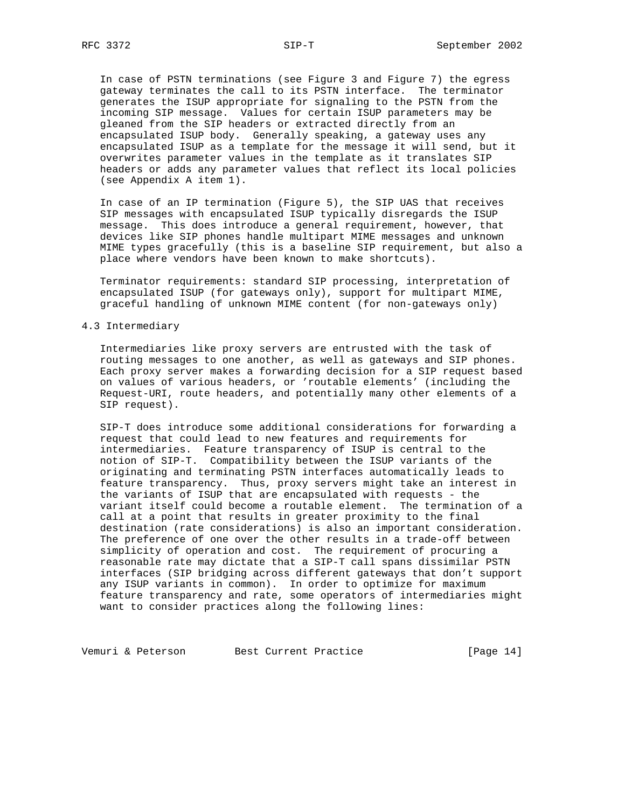In case of PSTN terminations (see Figure 3 and Figure 7) the egress gateway terminates the call to its PSTN interface. The terminator generates the ISUP appropriate for signaling to the PSTN from the incoming SIP message. Values for certain ISUP parameters may be gleaned from the SIP headers or extracted directly from an encapsulated ISUP body. Generally speaking, a gateway uses any encapsulated ISUP as a template for the message it will send, but it overwrites parameter values in the template as it translates SIP headers or adds any parameter values that reflect its local policies (see Appendix A item 1).

 In case of an IP termination (Figure 5), the SIP UAS that receives SIP messages with encapsulated ISUP typically disregards the ISUP message. This does introduce a general requirement, however, that devices like SIP phones handle multipart MIME messages and unknown MIME types gracefully (this is a baseline SIP requirement, but also a place where vendors have been known to make shortcuts).

 Terminator requirements: standard SIP processing, interpretation of encapsulated ISUP (for gateways only), support for multipart MIME, graceful handling of unknown MIME content (for non-gateways only)

### 4.3 Intermediary

 Intermediaries like proxy servers are entrusted with the task of routing messages to one another, as well as gateways and SIP phones. Each proxy server makes a forwarding decision for a SIP request based on values of various headers, or 'routable elements' (including the Request-URI, route headers, and potentially many other elements of a SIP request).

 SIP-T does introduce some additional considerations for forwarding a request that could lead to new features and requirements for intermediaries. Feature transparency of ISUP is central to the notion of SIP-T. Compatibility between the ISUP variants of the originating and terminating PSTN interfaces automatically leads to feature transparency. Thus, proxy servers might take an interest in the variants of ISUP that are encapsulated with requests - the variant itself could become a routable element. The termination of a call at a point that results in greater proximity to the final destination (rate considerations) is also an important consideration. The preference of one over the other results in a trade-off between simplicity of operation and cost. The requirement of procuring a reasonable rate may dictate that a SIP-T call spans dissimilar PSTN interfaces (SIP bridging across different gateways that don't support any ISUP variants in common). In order to optimize for maximum feature transparency and rate, some operators of intermediaries might want to consider practices along the following lines:

Vemuri & Peterson Best Current Practice [Page 14]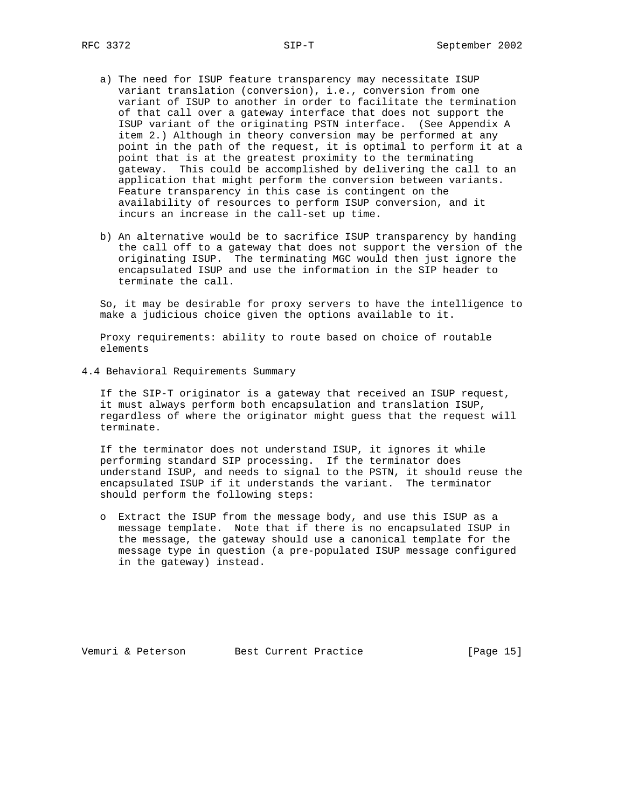- a) The need for ISUP feature transparency may necessitate ISUP variant translation (conversion), i.e., conversion from one variant of ISUP to another in order to facilitate the termination of that call over a gateway interface that does not support the ISUP variant of the originating PSTN interface. (See Appendix A item 2.) Although in theory conversion may be performed at any point in the path of the request, it is optimal to perform it at a point that is at the greatest proximity to the terminating gateway. This could be accomplished by delivering the call to an application that might perform the conversion between variants. Feature transparency in this case is contingent on the availability of resources to perform ISUP conversion, and it incurs an increase in the call-set up time.
- b) An alternative would be to sacrifice ISUP transparency by handing the call off to a gateway that does not support the version of the originating ISUP. The terminating MGC would then just ignore the encapsulated ISUP and use the information in the SIP header to terminate the call.

 So, it may be desirable for proxy servers to have the intelligence to make a judicious choice given the options available to it.

 Proxy requirements: ability to route based on choice of routable elements

4.4 Behavioral Requirements Summary

 If the SIP-T originator is a gateway that received an ISUP request, it must always perform both encapsulation and translation ISUP, regardless of where the originator might guess that the request will terminate.

 If the terminator does not understand ISUP, it ignores it while performing standard SIP processing. If the terminator does understand ISUP, and needs to signal to the PSTN, it should reuse the encapsulated ISUP if it understands the variant. The terminator should perform the following steps:

 o Extract the ISUP from the message body, and use this ISUP as a message template. Note that if there is no encapsulated ISUP in the message, the gateway should use a canonical template for the message type in question (a pre-populated ISUP message configured in the gateway) instead.

Vemuri & Peterson Best Current Practice [Page 15]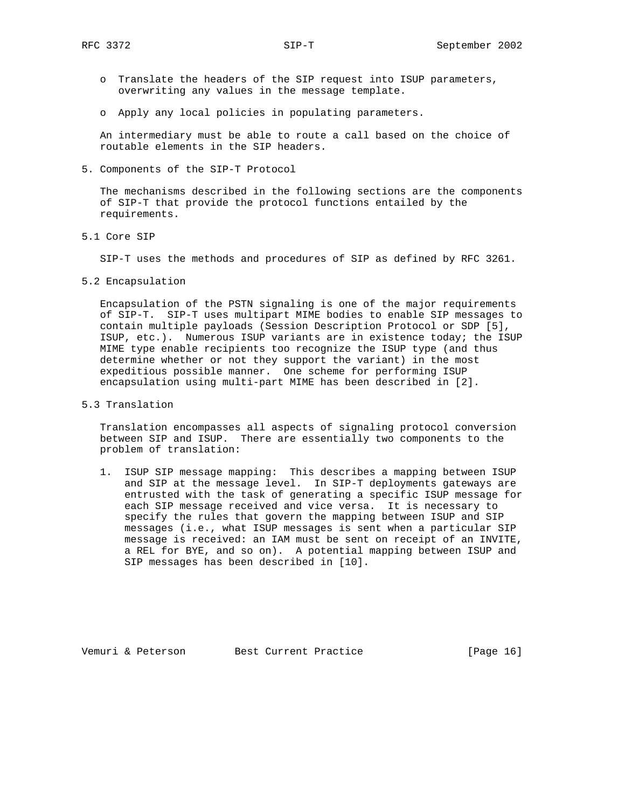- o Translate the headers of the SIP request into ISUP parameters, overwriting any values in the message template.
- o Apply any local policies in populating parameters.

 An intermediary must be able to route a call based on the choice of routable elements in the SIP headers.

5. Components of the SIP-T Protocol

 The mechanisms described in the following sections are the components of SIP-T that provide the protocol functions entailed by the requirements.

5.1 Core SIP

SIP-T uses the methods and procedures of SIP as defined by RFC 3261.

5.2 Encapsulation

 Encapsulation of the PSTN signaling is one of the major requirements of SIP-T. SIP-T uses multipart MIME bodies to enable SIP messages to contain multiple payloads (Session Description Protocol or SDP [5], ISUP, etc.). Numerous ISUP variants are in existence today; the ISUP MIME type enable recipients too recognize the ISUP type (and thus determine whether or not they support the variant) in the most expeditious possible manner. One scheme for performing ISUP encapsulation using multi-part MIME has been described in [2].

5.3 Translation

 Translation encompasses all aspects of signaling protocol conversion between SIP and ISUP. There are essentially two components to the problem of translation:

 1. ISUP SIP message mapping: This describes a mapping between ISUP and SIP at the message level. In SIP-T deployments gateways are entrusted with the task of generating a specific ISUP message for each SIP message received and vice versa. It is necessary to specify the rules that govern the mapping between ISUP and SIP messages (i.e., what ISUP messages is sent when a particular SIP message is received: an IAM must be sent on receipt of an INVITE, a REL for BYE, and so on). A potential mapping between ISUP and SIP messages has been described in [10].

Vemuri & Peterson Best Current Practice [Page 16]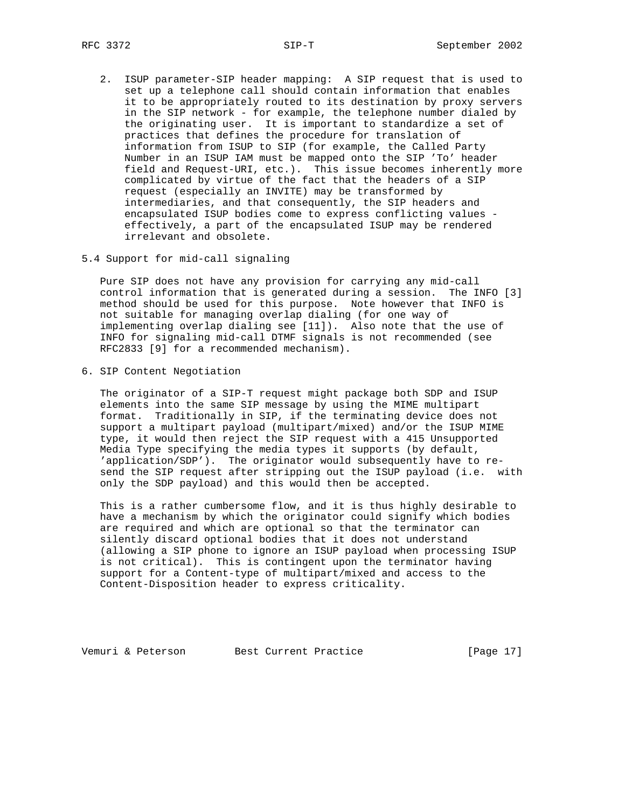- 2. ISUP parameter-SIP header mapping: A SIP request that is used to set up a telephone call should contain information that enables it to be appropriately routed to its destination by proxy servers in the SIP network - for example, the telephone number dialed by the originating user. It is important to standardize a set of practices that defines the procedure for translation of information from ISUP to SIP (for example, the Called Party Number in an ISUP IAM must be mapped onto the SIP 'To' header field and Request-URI, etc.). This issue becomes inherently more complicated by virtue of the fact that the headers of a SIP request (especially an INVITE) may be transformed by intermediaries, and that consequently, the SIP headers and encapsulated ISUP bodies come to express conflicting values effectively, a part of the encapsulated ISUP may be rendered irrelevant and obsolete.
- 5.4 Support for mid-call signaling

 Pure SIP does not have any provision for carrying any mid-call control information that is generated during a session. The INFO [3] method should be used for this purpose. Note however that INFO is not suitable for managing overlap dialing (for one way of implementing overlap dialing see [11]). Also note that the use of INFO for signaling mid-call DTMF signals is not recommended (see RFC2833 [9] for a recommended mechanism).

6. SIP Content Negotiation

 The originator of a SIP-T request might package both SDP and ISUP elements into the same SIP message by using the MIME multipart format. Traditionally in SIP, if the terminating device does not support a multipart payload (multipart/mixed) and/or the ISUP MIME type, it would then reject the SIP request with a 415 Unsupported Media Type specifying the media types it supports (by default, 'application/SDP'). The originator would subsequently have to re send the SIP request after stripping out the ISUP payload (i.e. with only the SDP payload) and this would then be accepted.

 This is a rather cumbersome flow, and it is thus highly desirable to have a mechanism by which the originator could signify which bodies are required and which are optional so that the terminator can silently discard optional bodies that it does not understand (allowing a SIP phone to ignore an ISUP payload when processing ISUP is not critical). This is contingent upon the terminator having support for a Content-type of multipart/mixed and access to the Content-Disposition header to express criticality.

Vemuri & Peterson Best Current Practice [Page 17]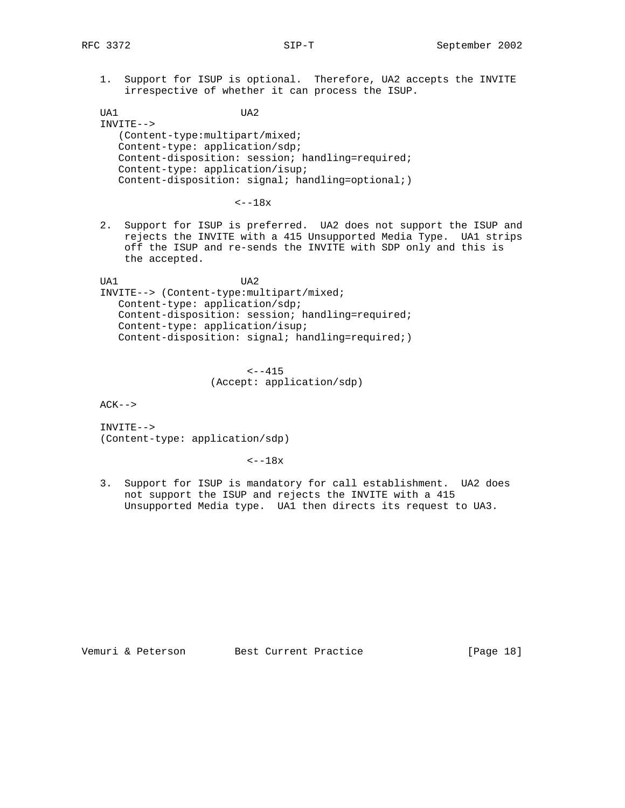1. Support for ISUP is optional. Therefore, UA2 accepts the INVITE irrespective of whether it can process the ISUP.

 UA1 UA2 INVITE--> (Content-type:multipart/mixed; Content-type: application/sdp; Content-disposition: session; handling=required; Content-type: application/isup; Content-disposition: signal; handling=optional;)

 $<--18x$ 

 2. Support for ISUP is preferred. UA2 does not support the ISUP and rejects the INVITE with a 415 Unsupported Media Type. UA1 strips off the ISUP and re-sends the INVITE with SDP only and this is the accepted.

 UA1 UA2 INVITE--> (Content-type:multipart/mixed; Content-type: application/sdp; Content-disposition: session; handling=required; Content-type: application/isup; Content-disposition: signal; handling=required;)

> $<--415$ (Accept: application/sdp)

 $ACK--$ 

 INVITE--> (Content-type: application/sdp)

 $\textrm{---}18x$ 

 3. Support for ISUP is mandatory for call establishment. UA2 does not support the ISUP and rejects the INVITE with a 415 Unsupported Media type. UA1 then directs its request to UA3.

Vemuri & Peterson Best Current Practice [Page 18]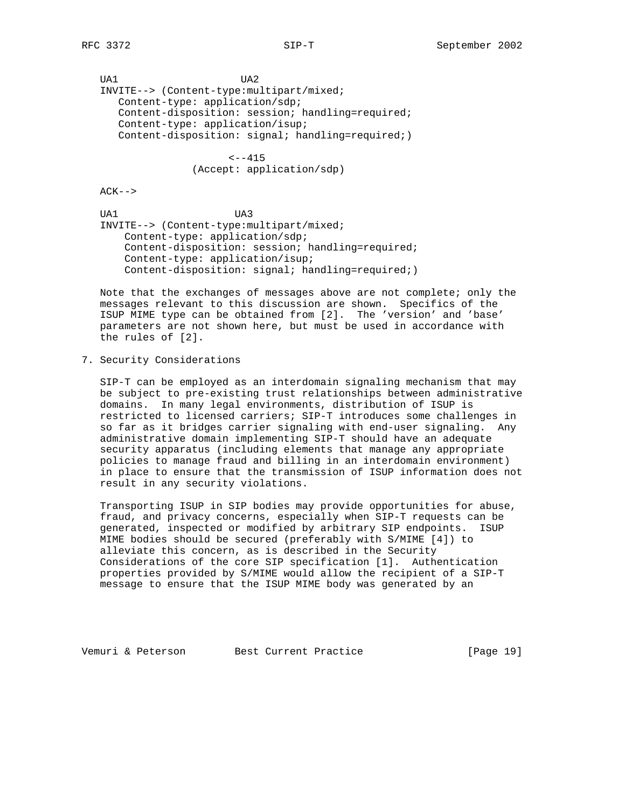UA1 UA2 INVITE--> (Content-type:multipart/mixed; Content-type: application/sdp; Content-disposition: session; handling=required; Content-type: application/isup; Content-disposition: signal; handling=required;)

> $<--415$ (Accept: application/sdp)

 $ACK--$ 

 UA1 UA3 INVITE--> (Content-type:multipart/mixed; Content-type: application/sdp; Content-disposition: session; handling=required; Content-type: application/isup; Content-disposition: signal; handling=required;)

 Note that the exchanges of messages above are not complete; only the messages relevant to this discussion are shown. Specifics of the ISUP MIME type can be obtained from [2]. The 'version' and 'base' parameters are not shown here, but must be used in accordance with the rules of [2].

7. Security Considerations

 SIP-T can be employed as an interdomain signaling mechanism that may be subject to pre-existing trust relationships between administrative domains. In many legal environments, distribution of ISUP is restricted to licensed carriers; SIP-T introduces some challenges in so far as it bridges carrier signaling with end-user signaling. Any administrative domain implementing SIP-T should have an adequate security apparatus (including elements that manage any appropriate policies to manage fraud and billing in an interdomain environment) in place to ensure that the transmission of ISUP information does not result in any security violations.

 Transporting ISUP in SIP bodies may provide opportunities for abuse, fraud, and privacy concerns, especially when SIP-T requests can be generated, inspected or modified by arbitrary SIP endpoints. ISUP MIME bodies should be secured (preferably with S/MIME [4]) to alleviate this concern, as is described in the Security Considerations of the core SIP specification [1]. Authentication properties provided by S/MIME would allow the recipient of a SIP-T message to ensure that the ISUP MIME body was generated by an

Vemuri & Peterson Best Current Practice [Page 19]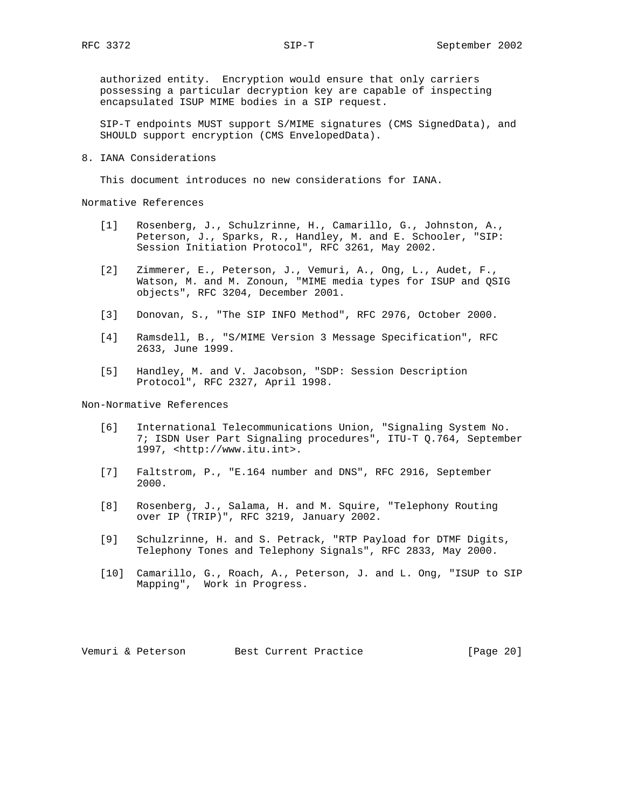authorized entity. Encryption would ensure that only carriers possessing a particular decryption key are capable of inspecting encapsulated ISUP MIME bodies in a SIP request.

 SIP-T endpoints MUST support S/MIME signatures (CMS SignedData), and SHOULD support encryption (CMS EnvelopedData).

8. IANA Considerations

This document introduces no new considerations for IANA.

Normative References

- [1] Rosenberg, J., Schulzrinne, H., Camarillo, G., Johnston, A., Peterson, J., Sparks, R., Handley, M. and E. Schooler, "SIP: Session Initiation Protocol", RFC 3261, May 2002.
- [2] Zimmerer, E., Peterson, J., Vemuri, A., Ong, L., Audet, F., Watson, M. and M. Zonoun, "MIME media types for ISUP and QSIG objects", RFC 3204, December 2001.
- [3] Donovan, S., "The SIP INFO Method", RFC 2976, October 2000.
- [4] Ramsdell, B., "S/MIME Version 3 Message Specification", RFC 2633, June 1999.
- [5] Handley, M. and V. Jacobson, "SDP: Session Description Protocol", RFC 2327, April 1998.

Non-Normative References

- [6] International Telecommunications Union, "Signaling System No. 7; ISDN User Part Signaling procedures", ITU-T Q.764, September 1997, <http://www.itu.int>.
- [7] Faltstrom, P., "E.164 number and DNS", RFC 2916, September 2000.
- [8] Rosenberg, J., Salama, H. and M. Squire, "Telephony Routing over IP (TRIP)", RFC 3219, January 2002.
- [9] Schulzrinne, H. and S. Petrack, "RTP Payload for DTMF Digits, Telephony Tones and Telephony Signals", RFC 2833, May 2000.
- [10] Camarillo, G., Roach, A., Peterson, J. and L. Ong, "ISUP to SIP Mapping", Work in Progress.

Vemuri & Peterson Best Current Practice [Page 20]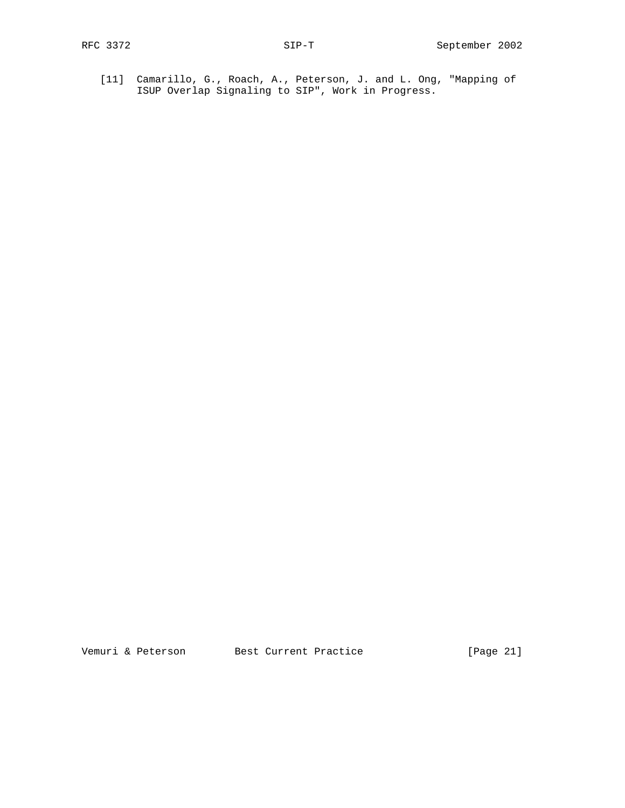[11] Camarillo, G., Roach, A., Peterson, J. and L. Ong, "Mapping of ISUP Overlap Signaling to SIP", Work in Progress.

Vemuri & Peterson Best Current Practice [Page 21]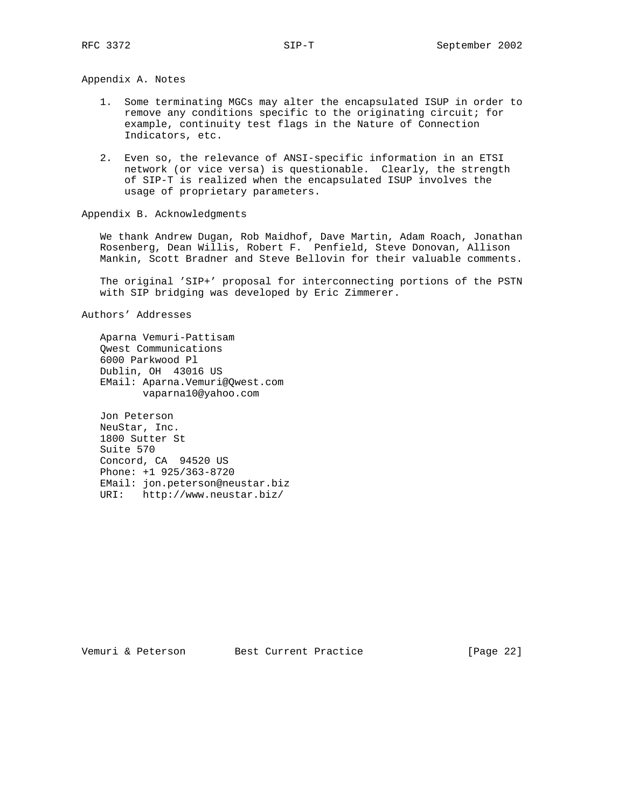Appendix A. Notes

- 1. Some terminating MGCs may alter the encapsulated ISUP in order to remove any conditions specific to the originating circuit; for example, continuity test flags in the Nature of Connection Indicators, etc.
- 2. Even so, the relevance of ANSI-specific information in an ETSI network (or vice versa) is questionable. Clearly, the strength of SIP-T is realized when the encapsulated ISUP involves the usage of proprietary parameters.

Appendix B. Acknowledgments

 We thank Andrew Dugan, Rob Maidhof, Dave Martin, Adam Roach, Jonathan Rosenberg, Dean Willis, Robert F. Penfield, Steve Donovan, Allison Mankin, Scott Bradner and Steve Bellovin for their valuable comments.

 The original 'SIP+' proposal for interconnecting portions of the PSTN with SIP bridging was developed by Eric Zimmerer.

Authors' Addresses

 Aparna Vemuri-Pattisam Qwest Communications 6000 Parkwood Pl Dublin, OH 43016 US EMail: Aparna.Vemuri@Qwest.com vaparna10@yahoo.com

 Jon Peterson NeuStar, Inc. 1800 Sutter St Suite 570 Concord, CA 94520 US Phone: +1 925/363-8720 EMail: jon.peterson@neustar.biz URI: http://www.neustar.biz/

Vemuri & Peterson Best Current Practice [Page 22]